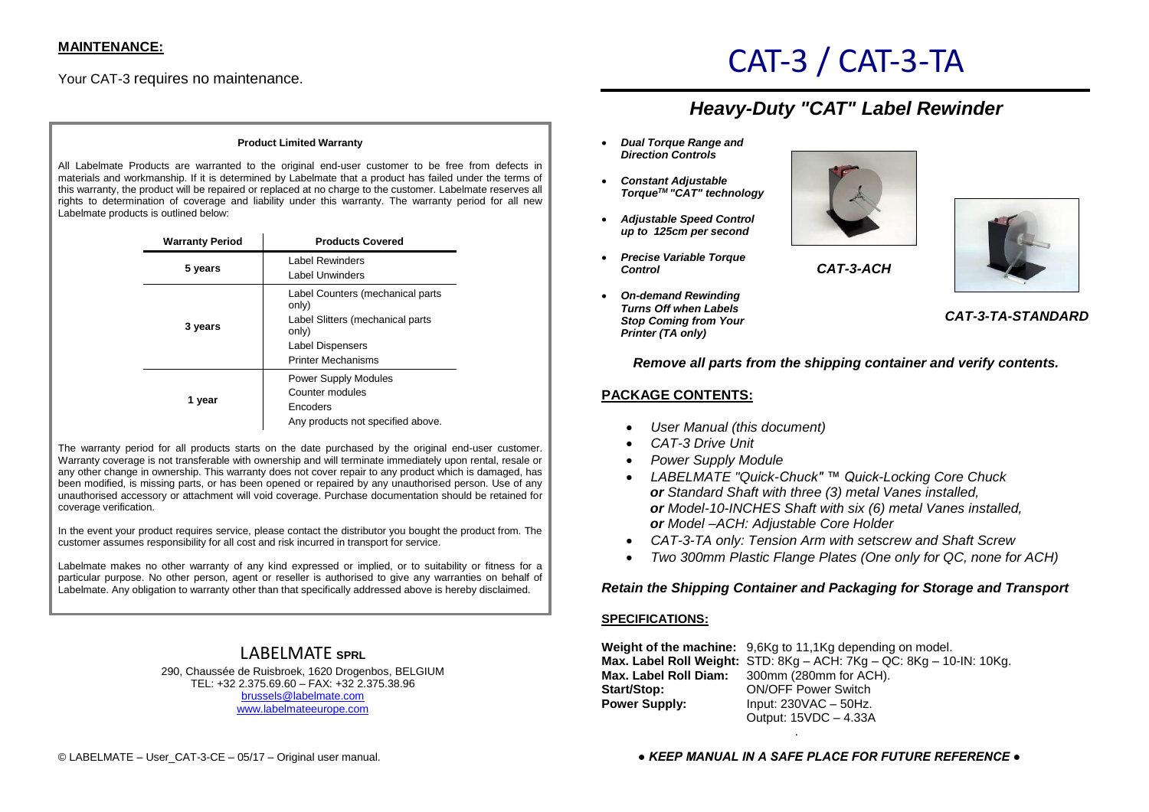Your CAT-3 requires no maintenance.

# CAT-3 / CAT-3-TA

## *Heavy-Duty "CAT" Label Rewinder*

#### **Product Limited Warranty**

All Labelmate Products are warranted to the original end-user customer to be free from defects in materials and workmanship. If it is determined by Labelmate that a product has failed under the terms of this warranty, the product will be repaired or replaced at no charge to the customer. Labelmate reserves all rights to determination of coverage and liability under this warranty. The warranty period for all new Labelmate products is outlined below:

| <b>Warranty Period</b> | <b>Products Covered</b>                   |
|------------------------|-------------------------------------------|
| 5 years                | Label Rewinders                           |
|                        | Label Unwinders                           |
| 3 years                | Label Counters (mechanical parts<br>only) |
|                        | Label Slitters (mechanical parts<br>only) |
|                        | Label Dispensers                          |
|                        | <b>Printer Mechanisms</b>                 |
| 1 year                 | <b>Power Supply Modules</b>               |
|                        | Counter modules                           |
|                        | Encoders                                  |
|                        | Any products not specified above.         |

The warranty period for all products starts on the date purchased by the original end-user customer. Warranty coverage is not transferable with ownership and will terminate immediately upon rental, resale or any other change in ownership. This warranty does not cover repair to any product which is damaged, has been modified, is missing parts, or has been opened or repaired by any unauthorised person. Use of any unauthorised accessory or attachment will void coverage. Purchase documentation should be retained for coverage verification.

In the event your product requires service, please contact the distributor you bought the product from. The customer assumes responsibility for all cost and risk incurred in transport for service.

Labelmate makes no other warranty of any kind expressed or implied, or to suitability or fitness for a particular purpose. No other person, agent or reseller is authorised to give any warranties on behalf of Labelmate. Any obligation to warranty other than that specifically addressed above is hereby disclaimed.

### LABELMATE **SPRL**

290, Chaussée de Ruisbroek, 1620 Drogenbos, BELGIUM TEL: +32 2.375.69.60 – FAX: +32 2.375.38.96 [brussels@labelmate.com](mailto:brussels@labelmate.com) [www.labelmateeurope.com](http://www.labelmateeurope.com/)

- *Dual Torque Range and Direction Controls*
- *Constant Adjustable TorqueTM "CAT" technology*
- *Adjustable Speed Control up to 125cm per second*
- *Precise Variable Torque Control*
- *On-demand Rewinding Turns Off when Labels Stop Coming from Your Printer (TA only)*





*CAT-3-TA-STANDARD*

*Remove all parts from the shipping container and verify contents.*

*CAT-3-ACH*

#### **PACKAGE CONTENTS:**

- *User Manual (this document)*
- *CAT-3 Drive Unit*
- *Power Supply Module*
- *LABELMATE "Quick-Chuck" ™ Quick-Locking Core Chuck or Standard Shaft with three (3) metal Vanes installed, or Model-10-INCHES Shaft with six (6) metal Vanes installed, or Model –ACH: Adjustable Core Holder*
- *CAT-3-TA only: Tension Arm with setscrew and Shaft Screw*
- *Two 300mm Plastic Flange Plates (One only for QC, none for ACH)*

#### *Retain the Shipping Container and Packaging for Storage and Transport*

#### **SPECIFICATIONS:**

**Weight of the machine:** 9,6Kg to 11,1Kg depending on model. **Max. Label Roll Weight:** STD: 8Kg – ACH: 7Kg – QC: 8Kg – 10-IN: 10Kg. **Max. Label Roll Diam:** 300mm (280mm for ACH). **Start/Stop:** ON/OFF Power Switch **Power Supply: Input: 230VAC – 50Hz.** Output: 15VDC – 4.33A

.